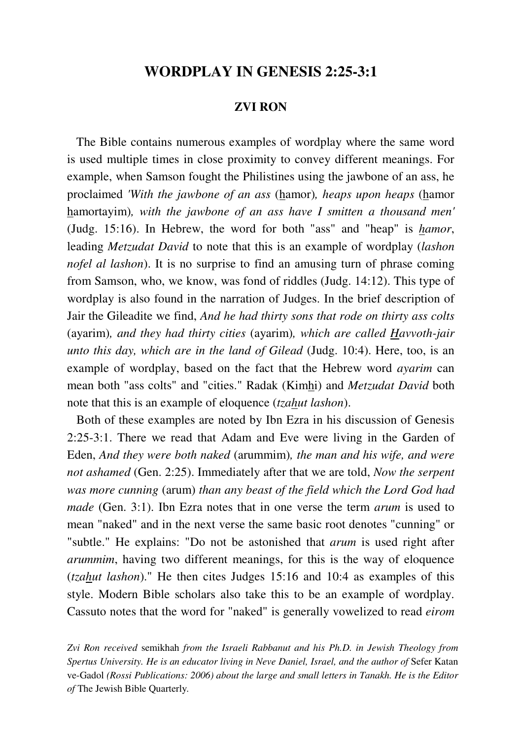## **WORDPLAY IN GENESIS 2:25-3:1**

## **ZVI RON**

 The Bible contains numerous examples of wordplay where the same word is used multiple times in close proximity to convey different meanings. For example, when Samson fought the Philistines using the jawbone of an ass, he proclaimed *'With the jawbone of an ass* (hamor)*, heaps upon heaps* (hamor hamortayim)*, with the jawbone of an ass have I smitten a thousand men'* (Judg. 15:16). In Hebrew, the word for both "ass" and "heap" is *hamor*, leading *Metzudat David* to note that this is an example of wordplay (*lashon nofel al lashon*). It is no surprise to find an amusing turn of phrase coming from Samson, who, we know, was fond of riddles (Judg. 14:12). This type of wordplay is also found in the narration of Judges. In the brief description of Jair the Gileadite we find, *And he had thirty sons that rode on thirty ass colts*  (ayarim)*, and they had thirty cities* (ayarim)*, which are called Havvoth-jair unto this day, which are in the land of Gilead* (Judg. 10:4). Here, too, is an example of wordplay, based on the fact that the Hebrew word *ayarim* can mean both "ass colts" and "cities." Radak (Kimhi) and *Metzudat David* both note that this is an example of eloquence (*tzahut lashon*).

 Both of these examples are noted by Ibn Ezra in his discussion of Genesis 2:25-3:1. There we read that Adam and Eve were living in the Garden of Eden, *And they were both naked* (arummim)*, the man and his wife, and were not ashamed* (Gen. 2:25). Immediately after that we are told, *Now the serpent was more cunning* (arum) *than any beast of the field which the Lord God had made* (Gen. 3:1). Ibn Ezra notes that in one verse the term *arum* is used to mean "naked" and in the next verse the same basic root denotes "cunning" or "subtle." He explains: "Do not be astonished that *arum* is used right after *arummim*, having two different meanings, for this is the way of eloquence (*tzahut lashon*)." He then cites Judges 15:16 and 10:4 as examples of this style. Modern Bible scholars also take this to be an example of wordplay. Cassuto notes that the word for "naked" is generally vowelized to read *eirom*

*Zvi Ron received* semikhah *from the Israeli Rabbanut and his Ph.D. in Jewish Theology from Spertus University. He is an educator living in Neve Daniel, Israel, and the author of* Sefer Katan ve-Gadol *(Rossi Publications: 2006) about the large and small letters in Tanakh. He is the Editor of* The Jewish Bible Quarterly*.*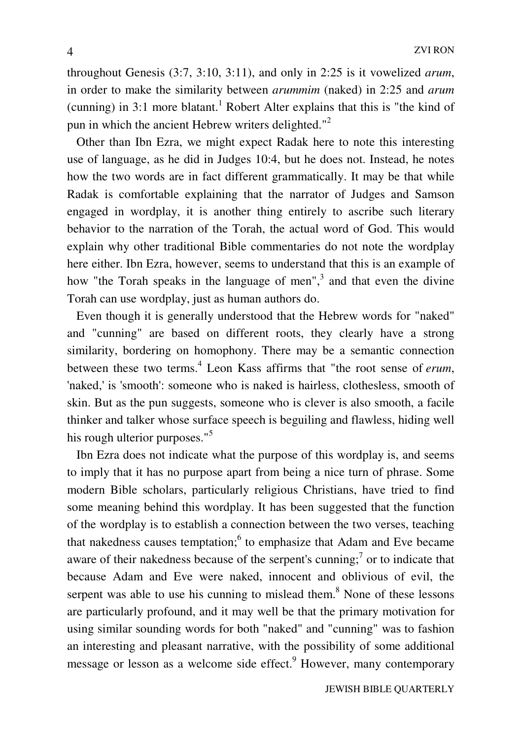throughout Genesis (3:7, 3:10, 3:11), and only in 2:25 is it vowelized *arum*, in order to make the similarity between *arummim* (naked) in 2:25 and *arum* (cunning) in  $3:1$  more blatant.<sup>1</sup> Robert Alter explains that this is "the kind of pun in which the ancient Hebrew writers delighted."<sup>2</sup>

 Other than Ibn Ezra, we might expect Radak here to note this interesting use of language, as he did in Judges 10:4, but he does not. Instead, he notes how the two words are in fact different grammatically. It may be that while Radak is comfortable explaining that the narrator of Judges and Samson engaged in wordplay, it is another thing entirely to ascribe such literary behavior to the narration of the Torah, the actual word of God. This would explain why other traditional Bible commentaries do not note the wordplay here either. Ibn Ezra, however, seems to understand that this is an example of how "the Torah speaks in the language of men", $3$  and that even the divine Torah can use wordplay, just as human authors do.

 Even though it is generally understood that the Hebrew words for "naked" and "cunning" are based on different roots, they clearly have a strong similarity, bordering on homophony. There may be a semantic connection between these two terms.<sup>4</sup> Leon Kass affirms that "the root sense of *erum*, 'naked,' is 'smooth': someone who is naked is hairless, clothesless, smooth of skin. But as the pun suggests, someone who is clever is also smooth, a facile thinker and talker whose surface speech is beguiling and flawless, hiding well his rough ulterior purposes."<sup>5</sup>

 Ibn Ezra does not indicate what the purpose of this wordplay is, and seems to imply that it has no purpose apart from being a nice turn of phrase. Some modern Bible scholars, particularly religious Christians, have tried to find some meaning behind this wordplay. It has been suggested that the function of the wordplay is to establish a connection between the two verses, teaching that nakedness causes temptation;<sup>6</sup> to emphasize that Adam and Eve became aware of their nakedness because of the serpent's cunning;<sup>7</sup> or to indicate that because Adam and Eve were naked, innocent and oblivious of evil, the serpent was able to use his cunning to mislead them.<sup>8</sup> None of these lessons are particularly profound, and it may well be that the primary motivation for using similar sounding words for both "naked" and "cunning" was to fashion an interesting and pleasant narrative, with the possibility of some additional message or lesson as a welcome side effect.<sup>9</sup> However, many contemporary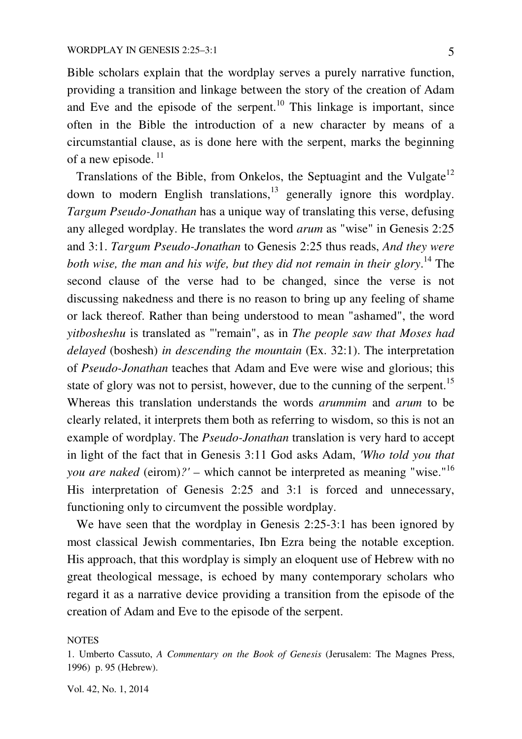Bible scholars explain that the wordplay serves a purely narrative function, providing a transition and linkage between the story of the creation of Adam and Eve and the episode of the serpent.<sup>10</sup> This linkage is important, since often in the Bible the introduction of a new character by means of a circumstantial clause, as is done here with the serpent, marks the beginning of a new episode.<sup>11</sup>

Translations of the Bible, from Onkelos, the Septuagint and the Vulgate<sup>12</sup> down to modern English translations, $13$  generally ignore this wordplay. *Targum Pseudo-Jonathan* has a unique way of translating this verse, defusing any alleged wordplay. He translates the word *arum* as "wise" in Genesis 2:25 and 3:1. *Targum Pseudo-Jonathan* to Genesis 2:25 thus reads, *And they were both wise, the man and his wife, but they did not remain in their glory*. <sup>14</sup> The second clause of the verse had to be changed, since the verse is not discussing nakedness and there is no reason to bring up any feeling of shame or lack thereof. Rather than being understood to mean "ashamed", the word *yitbosheshu* is translated as "'remain", as in *The people saw that Moses had delayed* (boshesh) *in descending the mountain* (Ex. 32:1). The interpretation of *Pseudo-Jonathan* teaches that Adam and Eve were wise and glorious; this state of glory was not to persist, however, due to the cunning of the serpent.<sup>15</sup> Whereas this translation understands the words *arummim* and *arum* to be clearly related, it interprets them both as referring to wisdom, so this is not an example of wordplay. The *Pseudo-Jonathan* translation is very hard to accept in light of the fact that in Genesis 3:11 God asks Adam, *'Who told you that you are naked* (eirom)*?' –* which cannot be interpreted as meaning "wise."<sup>16</sup> His interpretation of Genesis 2:25 and 3:1 is forced and unnecessary, functioning only to circumvent the possible wordplay.

 We have seen that the wordplay in Genesis 2:25-3:1 has been ignored by most classical Jewish commentaries, Ibn Ezra being the notable exception. His approach, that this wordplay is simply an eloquent use of Hebrew with no great theological message, is echoed by many contemporary scholars who regard it as a narrative device providing a transition from the episode of the creation of Adam and Eve to the episode of the serpent.

#### **NOTES**

1. Umberto Cassuto, *A Commentary on the Book of Genesis* (Jerusalem: The Magnes Press, 1996) p. 95 (Hebrew).

Vol. 42, No. 1, 2014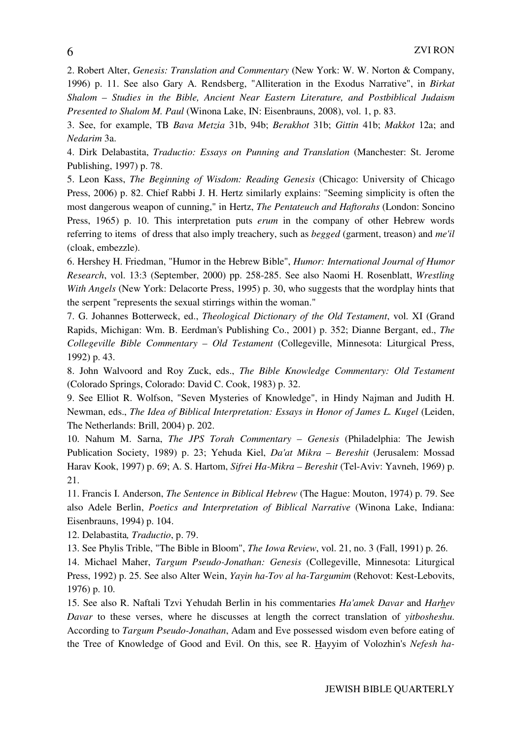2. Robert Alter, *Genesis: Translation and Commentary* (New York: W. W. Norton & Company, 1996) p. 11. See also Gary A. Rendsberg, "Alliteration in the Exodus Narrative", in *Birkat Shalom – Studies in the Bible, Ancient Near Eastern Literature, and Postbiblical Judaism Presented to Shalom M. Paul* (Winona Lake, IN: Eisenbrauns, 2008), vol. 1, p. 83.

3. See, for example, TB *Bava Metzia* 31b, 94b; *Berakhot* 31b; *Gittin* 41b; *Makkot* 12a; and *Nedarim* 3a.

4. Dirk Delabastita, *Traductio: Essays on Punning and Translation* (Manchester: St. Jerome Publishing, 1997) p. 78.

5. Leon Kass, *The Beginning of Wisdom: Reading Genesis* (Chicago: University of Chicago Press, 2006) p. 82. Chief Rabbi J. H. Hertz similarly explains: "Seeming simplicity is often the most dangerous weapon of cunning," in Hertz, *The Pentateuch and Haftorahs* (London: Soncino Press, 1965) p. 10. This interpretation puts *erum* in the company of other Hebrew words referring to items of dress that also imply treachery, such as *begged* (garment, treason) and *me'il* (cloak, embezzle).

6. Hershey H. Friedman, "Humor in the Hebrew Bible", *Humor: International Journal of Humor Research*, vol. 13:3 (September, 2000) pp. 258-285. See also Naomi H. Rosenblatt, *Wrestling With Angels* (New York: Delacorte Press, 1995) p. 30, who suggests that the wordplay hints that the serpent "represents the sexual stirrings within the woman."

7. G. Johannes Botterweck, ed., *Theological Dictionary of the Old Testament*, vol. XI (Grand Rapids, Michigan: Wm. B. Eerdman's Publishing Co., 2001) p. 352; Dianne Bergant, ed., *The Collegeville Bible Commentary – Old Testament* (Collegeville, Minnesota: Liturgical Press, 1992) p. 43.

8. John Walvoord and Roy Zuck, eds., *The Bible Knowledge Commentary: Old Testament*  (Colorado Springs, Colorado: David C. Cook, 1983) p. 32.

9. See Elliot R. Wolfson, "Seven Mysteries of Knowledge", in Hindy Najman and Judith H. Newman, eds., *The Idea of Biblical Interpretation: Essays in Honor of James L. Kugel* (Leiden, The Netherlands: Brill, 2004) p. 202.

10. Nahum M. Sarna, *The JPS Torah Commentary – Genesis* (Philadelphia: The Jewish Publication Society, 1989) p. 23; Yehuda Kiel, *Da'at Mikra – Bereshit* (Jerusalem: Mossad Harav Kook, 1997) p. 69; A. S. Hartom, *Sifrei Ha-Mikra – Bereshit* (Tel-Aviv: Yavneh, 1969) p. 21.

11. Francis I. Anderson, *The Sentence in Biblical Hebrew* (The Hague: Mouton, 1974) p. 79. See also Adele Berlin, *Poetics and Interpretation of Biblical Narrative* (Winona Lake, Indiana: Eisenbrauns, 1994) p. 104.

12. Delabastita*, Traductio*, p. 79.

13. See Phylis Trible, "The Bible in Bloom", *The Iowa Review*, vol. 21, no. 3 (Fall, 1991) p. 26.

14. Michael Maher, *Targum Pseudo-Jonathan: Genesis* (Collegeville, Minnesota: Liturgical Press, 1992) p. 25. See also Alter Wein, *Yayin ha-Tov al ha-Targumim* (Rehovot: Kest-Lebovits, 1976) p. 10.

15. See also R. Naftali Tzvi Yehudah Berlin in his commentaries *Ha'amek Davar* and *Harhev Davar* to these verses, where he discusses at length the correct translation of *yitbosheshu*. According to *Targum Pseudo-Jonathan*, Adam and Eve possessed wisdom even before eating of the Tree of Knowledge of Good and Evil. On this, see R. Hayyim of Volozhin's *Nefesh ha-*